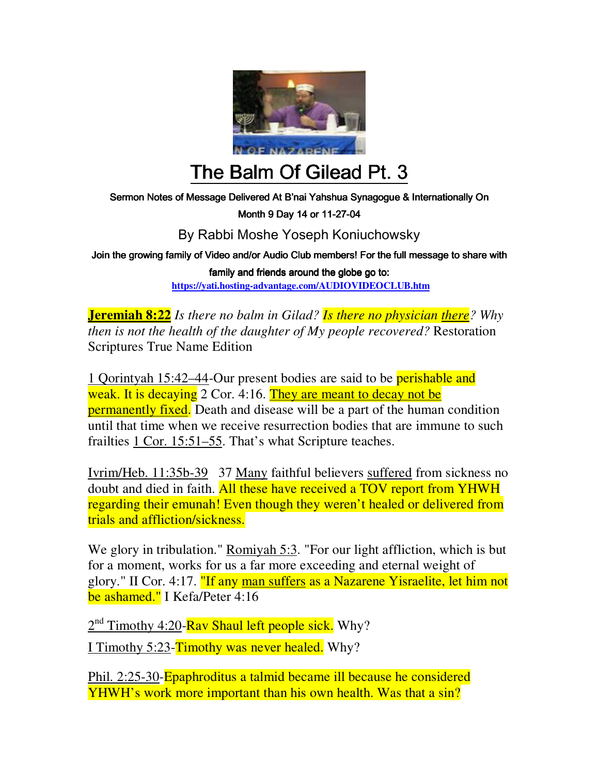

## The Balm Of Gilead Pt. 3

Sermon Notes of Message Delivered At B'nai Yahshua Synagogue & Internationally On

Month 9 Day 14 or 11-27-04

By Rabbi Moshe Yoseph Koniuchowsky

Join the growing family of Video and/or Audio Club members! For the full message to share with

family and friends around the globe go to: **https://yati.hosting-advantage.com/AUDIOVIDEOCLUB.htm**

**Jeremiah 8:22** *Is there no balm in Gilad? Is there no physician there? Why then is not the health of the daughter of My people recovered?* Restoration Scriptures True Name Edition

1 Qorintyah 15:42–44-Our present bodies are said to be perishable and weak. It is decaying 2 Cor. 4:16. They are meant to decay not be **permanently fixed.** Death and disease will be a part of the human condition until that time when we receive resurrection bodies that are immune to such frailties 1 Cor. 15:51–55. That's what Scripture teaches.

Ivrim/Heb. 11:35b-39 37 Many faithful believers suffered from sickness no doubt and died in faith. All these have received a TOV report from YHWH regarding their emunah! Even though they weren't healed or delivered from trials and affliction/sickness.

We glory in tribulation." Romiyah 5:3. "For our light affliction, which is but for a moment, works for us a far more exceeding and eternal weight of glory." II Cor. 4:17. "If any man suffers as a Nazarene Yisraelite, let him not be ashamed." I Kefa/Peter 4:16

2<sup>nd</sup> Timothy 4:20-Rav Shaul left people sick. Why?

I Timothy 5:23-Timothy was never healed. Why?

Phil. 2:25-30-Epaphroditus a talmid became ill because he considered YHWH's work more important than his own health. Was that a sin?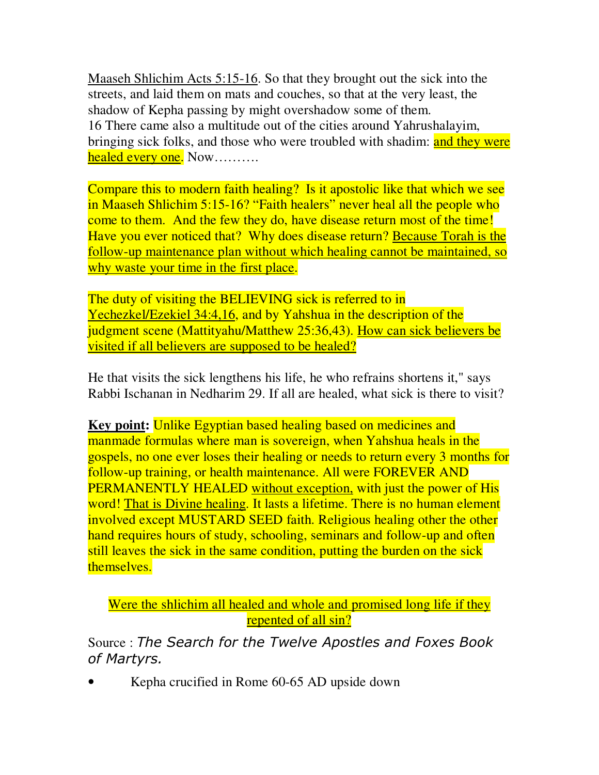Maaseh Shlichim Acts 5:15-16. So that they brought out the sick into the streets, and laid them on mats and couches, so that at the very least, the shadow of Kepha passing by might overshadow some of them. 16 There came also a multitude out of the cities around Yahrushalayim, bringing sick folks, and those who were troubled with shadim: and they were healed every one. Now..........

Compare this to modern faith healing? Is it apostolic like that which we see in Maaseh Shlichim 5:15-16? "Faith healers" never heal all the people who come to them. And the few they do, have disease return most of the time! Have you ever noticed that? Why does disease return? Because Torah is the follow-up maintenance plan without which healing cannot be maintained, so why waste your time in the first place.

The duty of visiting the BELIEVING sick is referred to in Yechezkel/Ezekiel 34:4,16, and by Yahshua in the description of the judgment scene (Mattityahu/Matthew 25:36,43). How can sick believers be visited if all believers are supposed to be healed?

He that visits the sick lengthens his life, he who refrains shortens it," says Rabbi Ischanan in Nedharim 29. If all are healed, what sick is there to visit?

**Key point:** Unlike Egyptian based healing based on medicines and manmade formulas where man is sovereign, when Yahshua heals in the gospels, no one ever loses their healing or needs to return every 3 months for follow-up training, or health maintenance. All were FOREVER AND PERMANENTLY HEALED without exception, with just the power of His word! That is Divine healing. It lasts a lifetime. There is no human element involved except MUSTARD SEED faith. Religious healing other the other hand requires hours of study, schooling, seminars and follow-up and often still leaves the sick in the same condition, putting the burden on the sick themselves.

Were the shlichim all healed and whole and promised long life if they repented of all sin?

Source : *The Search for the Twelve Apostles and Foxes Book of Martyrs.*

• Kepha crucified in Rome 60-65 AD upside down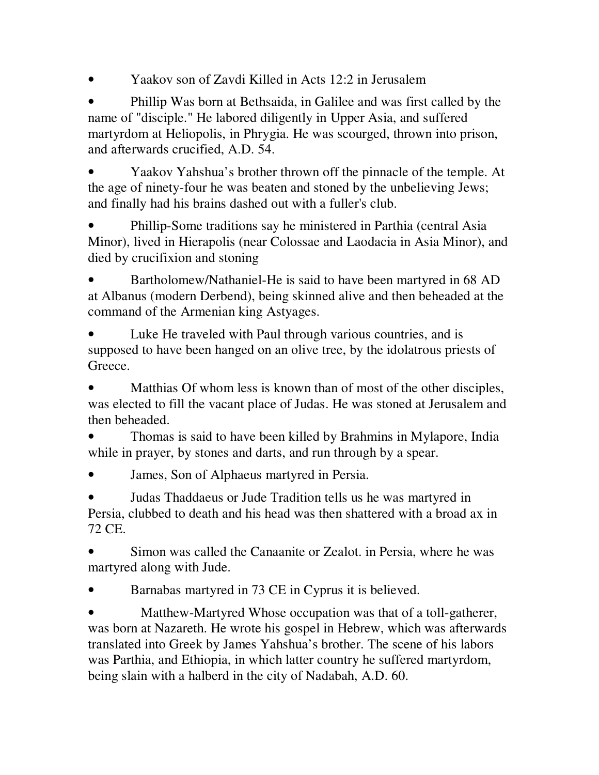• Yaakov son of Zavdi Killed in Acts 12:2 in Jerusalem

• Phillip Was born at Bethsaida, in Galilee and was first called by the name of "disciple." He labored diligently in Upper Asia, and suffered martyrdom at Heliopolis, in Phrygia. He was scourged, thrown into prison, and afterwards crucified, A.D. 54.

• Yaakov Yahshua's brother thrown off the pinnacle of the temple. At the age of ninety-four he was beaten and stoned by the unbelieving Jews; and finally had his brains dashed out with a fuller's club.

• Phillip-Some traditions say he ministered in Parthia (central Asia Minor), lived in Hierapolis (near Colossae and Laodacia in Asia Minor), and died by crucifixion and stoning

• Bartholomew/Nathaniel-He is said to have been martyred in 68 AD at Albanus (modern Derbend), being skinned alive and then beheaded at the command of the Armenian king Astyages.

Luke He traveled with Paul through various countries, and is supposed to have been hanged on an olive tree, by the idolatrous priests of Greece.

Matthias Of whom less is known than of most of the other disciples, was elected to fill the vacant place of Judas. He was stoned at Jerusalem and then beheaded.

• Thomas is said to have been killed by Brahmins in Mylapore, India while in prayer, by stones and darts, and run through by a spear.

• **James, Son of Alphaeus martyred in Persia.** 

• Judas Thaddaeus or Jude Tradition tells us he was martyred in Persia, clubbed to death and his head was then shattered with a broad ax in 72 CE.

• Simon was called the Canaanite or Zealot. in Persia, where he was martyred along with Jude.

• Barnabas martyred in 73 CE in Cyprus it is believed.

• Matthew-Martyred Whose occupation was that of a toll-gatherer, was born at Nazareth. He wrote his gospel in Hebrew, which was afterwards translated into Greek by James Yahshua's brother. The scene of his labors was Parthia, and Ethiopia, in which latter country he suffered martyrdom, being slain with a halberd in the city of Nadabah, A.D. 60.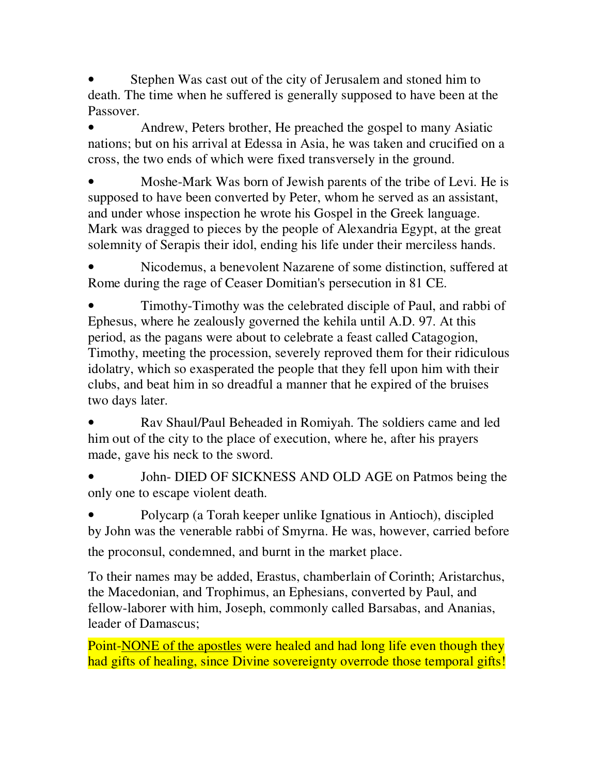Stephen Was cast out of the city of Jerusalem and stoned him to death. The time when he suffered is generally supposed to have been at the Passover.

• Andrew, Peters brother, He preached the gospel to many Asiatic nations; but on his arrival at Edessa in Asia, he was taken and crucified on a cross, the two ends of which were fixed transversely in the ground.

• Moshe-Mark Was born of Jewish parents of the tribe of Levi. He is supposed to have been converted by Peter, whom he served as an assistant, and under whose inspection he wrote his Gospel in the Greek language. Mark was dragged to pieces by the people of Alexandria Egypt, at the great solemnity of Serapis their idol, ending his life under their merciless hands.

• Nicodemus, a benevolent Nazarene of some distinction, suffered at Rome during the rage of Ceaser Domitian's persecution in 81 CE.

• Timothy-Timothy was the celebrated disciple of Paul, and rabbi of Ephesus, where he zealously governed the kehila until A.D. 97. At this period, as the pagans were about to celebrate a feast called Catagogion, Timothy, meeting the procession, severely reproved them for their ridiculous idolatry, which so exasperated the people that they fell upon him with their clubs, and beat him in so dreadful a manner that he expired of the bruises two days later.

• Rav Shaul/Paul Beheaded in Romiyah. The soldiers came and led him out of the city to the place of execution, where he, after his prayers made, gave his neck to the sword.

• John- DIED OF SICKNESS AND OLD AGE on Patmos being the only one to escape violent death.

• Polycarp (a Torah keeper unlike Ignatious in Antioch), discipled by John was the venerable rabbi of Smyrna. He was, however, carried before the proconsul, condemned, and burnt in the market place.

To their names may be added, Erastus, chamberlain of Corinth; Aristarchus, the Macedonian, and Trophimus, an Ephesians, converted by Paul, and fellow-laborer with him, Joseph, commonly called Barsabas, and Ananias, leader of Damascus;

Point-NONE of the apostles were healed and had long life even though they had gifts of healing, since Divine sovereignty overrode those temporal gifts!